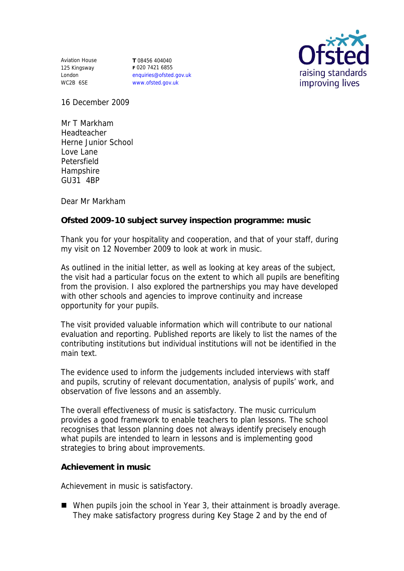Aviation House 125 Kingsway London WC2B 6SE

**T** 08456 404040 **F** 020 7421 6855 enquiries@ofsted.gov.uk www.ofsted.gov.uk



16 December 2009

Mr T Markham Headteacher Herne Junior School Love Lane Petersfield Hampshire GU31 4BP

Dear Mr Markham

**Ofsted 2009-10 subject survey inspection programme: music**

Thank you for your hospitality and cooperation, and that of your staff, during my visit on 12 November 2009 to look at work in music.

As outlined in the initial letter, as well as looking at key areas of the subject, the visit had a particular focus on the extent to which all pupils are benefiting from the provision. I also explored the partnerships you may have developed with other schools and agencies to improve continuity and increase opportunity for your pupils.

The visit provided valuable information which will contribute to our national evaluation and reporting. Published reports are likely to list the names of the contributing institutions but individual institutions will not be identified in the main text.

The evidence used to inform the judgements included interviews with staff and pupils, scrutiny of relevant documentation, analysis of pupils' work, and observation of five lessons and an assembly.

The overall effectiveness of music is satisfactory. The music curriculum provides a good framework to enable teachers to plan lessons. The school recognises that lesson planning does not always identify precisely enough what pupils are intended to learn in lessons and is implementing good strategies to bring about improvements.

**Achievement in music** 

Achievement in music is satisfactory.

When pupils join the school in Year 3, their attainment is broadly average. They make satisfactory progress during Key Stage 2 and by the end of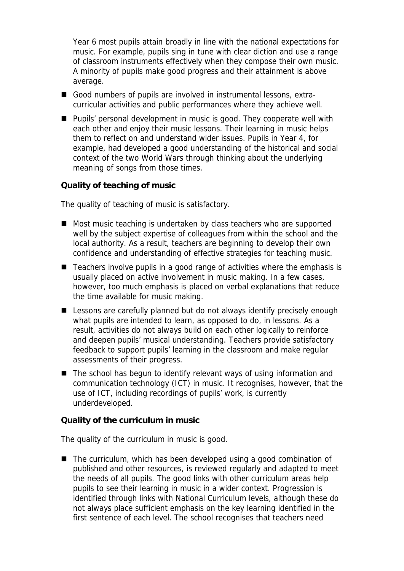Year 6 most pupils attain broadly in line with the national expectations for music. For example, pupils sing in tune with clear diction and use a range of classroom instruments effectively when they compose their own music. A minority of pupils make good progress and their attainment is above average.

- Good numbers of pupils are involved in instrumental lessons, extracurricular activities and public performances where they achieve well.
- **Pupils'** personal development in music is good. They cooperate well with each other and enjoy their music lessons. Their learning in music helps them to reflect on and understand wider issues. Pupils in Year 4, for example, had developed a good understanding of the historical and social context of the two World Wars through thinking about the underlying meaning of songs from those times.

**Quality of teaching of music**

The quality of teaching of music is satisfactory.

- Most music teaching is undertaken by class teachers who are supported well by the subject expertise of colleagues from within the school and the local authority. As a result, teachers are beginning to develop their own confidence and understanding of effective strategies for teaching music.
- Teachers involve pupils in a good range of activities where the emphasis is usually placed on active involvement in music making. In a few cases, however, too much emphasis is placed on verbal explanations that reduce the time available for music making.
- Lessons are carefully planned but do not always identify precisely enough what pupils are intended to learn, as opposed to do, in lessons. As a result, activities do not always build on each other logically to reinforce and deepen pupils' musical understanding. Teachers provide satisfactory feedback to support pupils' learning in the classroom and make regular assessments of their progress.
- The school has begun to identify relevant ways of using information and communication technology (ICT) in music. It recognises, however, that the use of ICT, including recordings of pupils' work, is currently underdeveloped.

**Quality of the curriculum in music**

The quality of the curriculum in music is good.

■ The curriculum, which has been developed using a good combination of published and other resources, is reviewed regularly and adapted to meet the needs of all pupils. The good links with other curriculum areas help pupils to see their learning in music in a wider context. Progression is identified through links with National Curriculum levels, although these do not always place sufficient emphasis on the key learning identified in the first sentence of each level. The school recognises that teachers need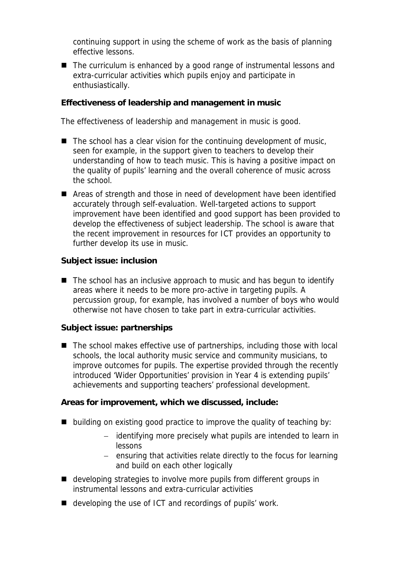continuing support in using the scheme of work as the basis of planning effective lessons.

■ The curriculum is enhanced by a good range of instrumental lessons and extra-curricular activities which pupils enjoy and participate in enthusiastically.

**Effectiveness of leadership and management in music**

The effectiveness of leadership and management in music is good.

- $\blacksquare$  The school has a clear vision for the continuing development of music, seen for example, in the support given to teachers to develop their understanding of how to teach music. This is having a positive impact on the quality of pupils' learning and the overall coherence of music across the school.
- Areas of strength and those in need of development have been identified accurately through self-evaluation. Well-targeted actions to support improvement have been identified and good support has been provided to develop the effectiveness of subject leadership. The school is aware that the recent improvement in resources for ICT provides an opportunity to further develop its use in music.

**Subject issue: inclusion**

 $\blacksquare$  The school has an inclusive approach to music and has begun to identify areas where it needs to be more pro-active in targeting pupils. A percussion group, for example, has involved a number of boys who would otherwise not have chosen to take part in extra-curricular activities.

**Subject issue: partnerships**

■ The school makes effective use of partnerships, including those with local schools, the local authority music service and community musicians, to improve outcomes for pupils. The expertise provided through the recently introduced 'Wider Opportunities' provision in Year 4 is extending pupils' achievements and supporting teachers' professional development.

**Areas for improvement, which we discussed, include:**

- building on existing good practice to improve the quality of teaching by:
	- identifying more precisely what pupils are intended to learn in lessons
	- $-$  ensuring that activities relate directly to the focus for learning and build on each other logically
- developing strategies to involve more pupils from different groups in instrumental lessons and extra-curricular activities
- developing the use of ICT and recordings of pupils' work.